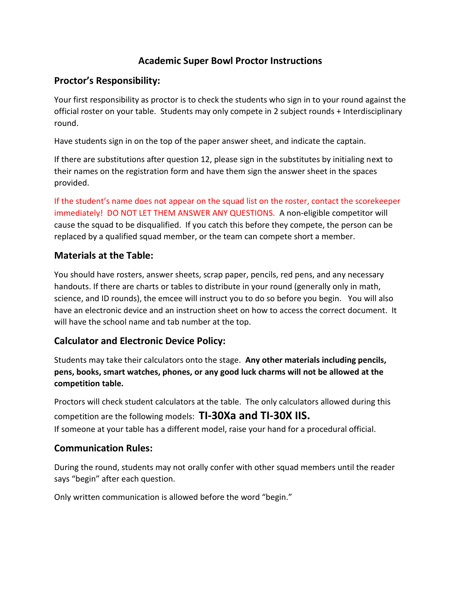# **Academic Super Bowl Proctor Instructions**

## **Proctor's Responsibility:**

Your first responsibility as proctor is to check the students who sign in to your round against the official roster on your table. Students may only compete in 2 subject rounds + Interdisciplinary round.

Have students sign in on the top of the paper answer sheet, and indicate the captain.

If there are substitutions after question 12, please sign in the substitutes by initialing next to their names on the registration form and have them sign the answer sheet in the spaces provided.

If the student's name does not appear on the squad list on the roster, contact the scorekeeper immediately! DO NOT LET THEM ANSWER ANY QUESTIONS. A non-eligible competitor will cause the squad to be disqualified. If you catch this before they compete, the person can be replaced by a qualified squad member, or the team can compete short a member.

## **Materials at the Table:**

You should have rosters, answer sheets, scrap paper, pencils, red pens, and any necessary handouts. If there are charts or tables to distribute in your round (generally only in math, science, and ID rounds), the emcee will instruct you to do so before you begin. You will also have an electronic device and an instruction sheet on how to access the correct document. It will have the school name and tab number at the top.

# **Calculator and Electronic Device Policy:**

Students may take their calculators onto the stage. **Any other materials including pencils, pens, books, smart watches, phones, or any good luck charms will not be allowed at the competition table.** 

Proctors will check student calculators at the table. The only calculators allowed during this competition are the following models: **TI-30Xa and TI-30X IIS.** If someone at your table has a different model, raise your hand for a procedural official.

#### **Communication Rules:**

During the round, students may not orally confer with other squad members until the reader says "begin" after each question.

Only written communication is allowed before the word "begin."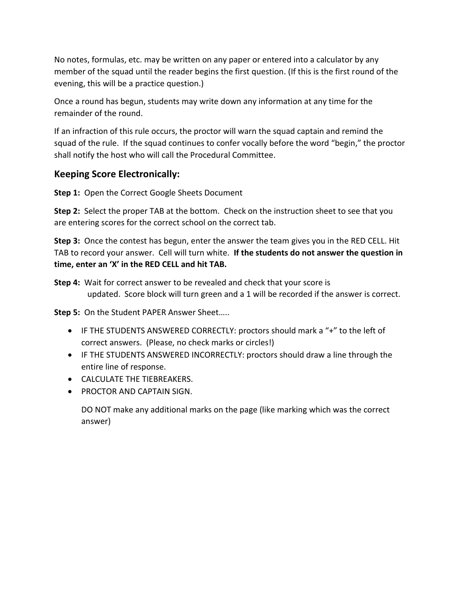No notes, formulas, etc. may be written on any paper or entered into a calculator by any member of the squad until the reader begins the first question. (If this is the first round of the evening, this will be a practice question.)

Once a round has begun, students may write down any information at any time for the remainder of the round.

If an infraction of this rule occurs, the proctor will warn the squad captain and remind the squad of the rule. If the squad continues to confer vocally before the word "begin," the proctor shall notify the host who will call the Procedural Committee.

## **Keeping Score Electronically:**

**Step 1:** Open the Correct Google Sheets Document

**Step 2:** Select the proper TAB at the bottom. Check on the instruction sheet to see that you are entering scores for the correct school on the correct tab.

**Step 3:** Once the contest has begun, enter the answer the team gives you in the RED CELL. Hit TAB to record your answer. Cell will turn white. **If the students do not answer the question in time, enter an 'X' in the RED CELL and hit TAB.** 

**Step 4:** Wait for correct answer to be revealed and check that your score is updated. Score block will turn green and a 1 will be recorded if the answer is correct.

**Step 5:** On the Student PAPER Answer Sheet…..

- IF THE STUDENTS ANSWERED CORRECTLY: proctors should mark a "+" to the left of correct answers. (Please, no check marks or circles!)
- IF THE STUDENTS ANSWERED INCORRECTLY: proctors should draw a line through the entire line of response.
- CALCULATE THE TIEBREAKERS.
- PROCTOR AND CAPTAIN SIGN.

DO NOT make any additional marks on the page (like marking which was the correct answer)